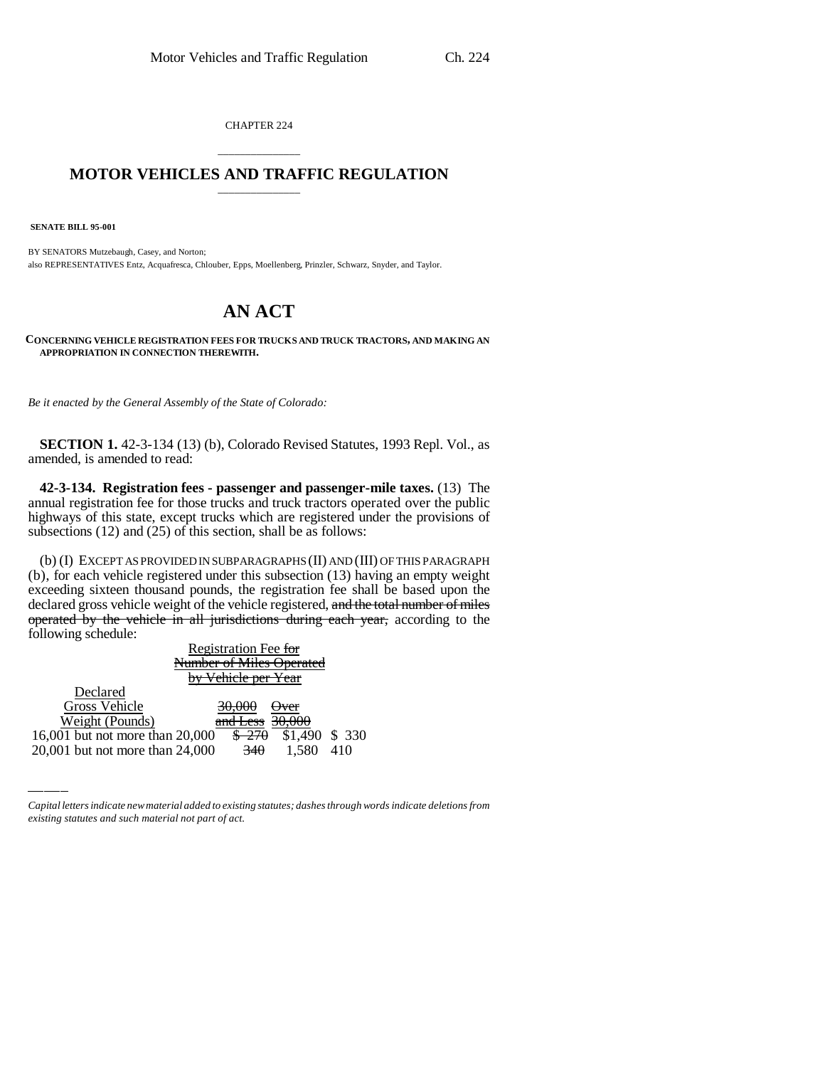CHAPTER 224

## \_\_\_\_\_\_\_\_\_\_\_\_\_\_\_ **MOTOR VEHICLES AND TRAFFIC REGULATION** \_\_\_\_\_\_\_\_\_\_\_\_\_\_\_

 **SENATE BILL 95-001**

BY SENATORS Mutzebaugh, Casey, and Norton; also REPRESENTATIVES Entz, Acquafresca, Chlouber, Epps, Moellenberg, Prinzler, Schwarz, Snyder, and Taylor.

## **AN ACT**

**CONCERNING VEHICLE REGISTRATION FEES FOR TRUCKS AND TRUCK TRACTORS, AND MAKING AN APPROPRIATION IN CONNECTION THEREWITH.**

*Be it enacted by the General Assembly of the State of Colorado:*

**SECTION 1.** 42-3-134 (13) (b), Colorado Revised Statutes, 1993 Repl. Vol., as amended, is amended to read:

**42-3-134. Registration fees - passenger and passenger-mile taxes.** (13) The annual registration fee for those trucks and truck tractors operated over the public highways of this state, except trucks which are registered under the provisions of subsections (12) and (25) of this section, shall be as follows:

(b) (I) EXCEPT AS PROVIDED IN SUBPARAGRAPHS (II) AND (III) OF THIS PARAGRAPH (b), for each vehicle registered under this subsection (13) having an empty weight exceeding sixteen thousand pounds, the registration fee shall be based upon the declared gross vehicle weight of the vehicle registered, and the total number of miles operated by the vehicle in all jurisdictions during each year, according to the following schedule:

|                                 | Registration Fee for           |                         |        |
|---------------------------------|--------------------------------|-------------------------|--------|
|                                 |                                | umber of Miles Operated |        |
|                                 | <del>bv Vehicle per Year</del> |                         |        |
| Declared                        |                                |                         |        |
| Gross Vehicle                   |                                |                         |        |
| Weight (Pounds)                 | and Less                       |                         |        |
| 16,001 but not more than 20,000 |                                | \$1.490                 | \$ 330 |
| 20,001 but not more than 24,000 | 340                            |                         |        |

*Capital letters indicate new material added to existing statutes; dashes through words indicate deletions from existing statutes and such material not part of act.*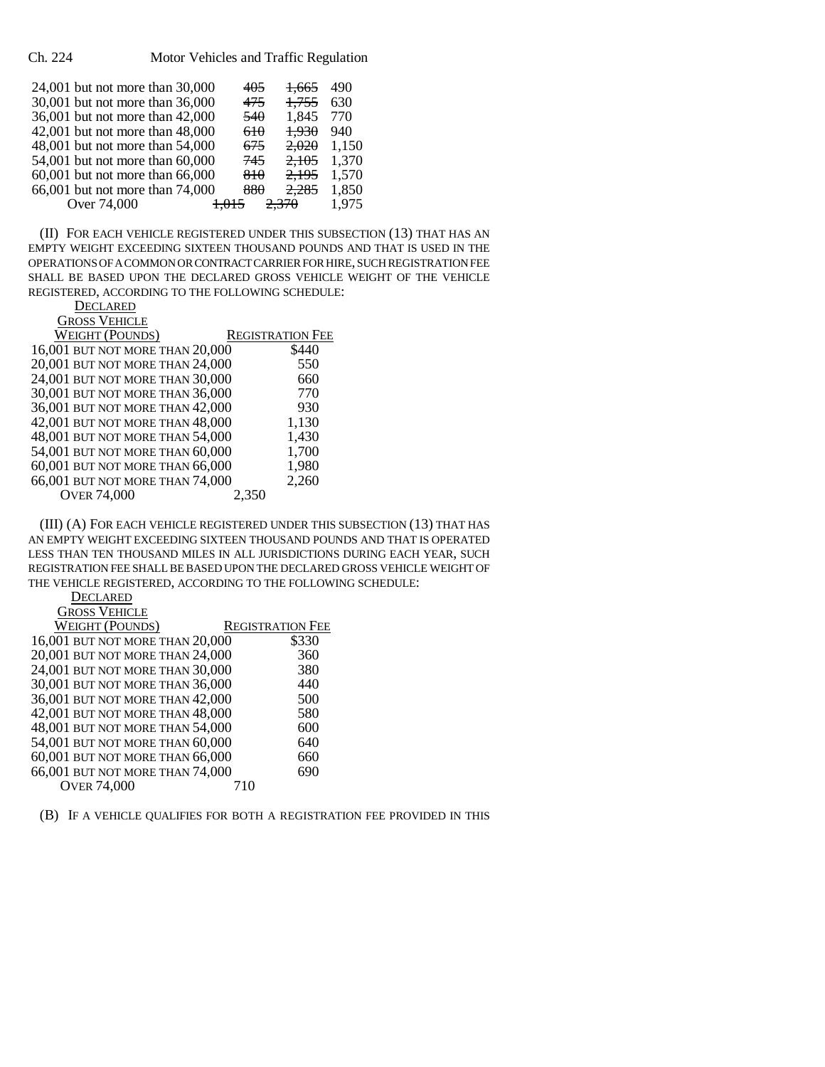Ch. 224 Motor Vehicles and Traffic Regulation

| 24,001 but not more than 30,000 | 405 | 1.665 | 490   |
|---------------------------------|-----|-------|-------|
| 30,001 but not more than 36,000 | 475 | 1,755 | 630   |
| 36,001 but not more than 42,000 | 540 | 1,845 | 770   |
| 42,001 but not more than 48,000 | 610 | 1,930 | 940   |
| 48,001 but not more than 54,000 | 675 | 2,020 | 1,150 |
| 54,001 but not more than 60,000 | 745 | 2,105 | 1,370 |
| 60,001 but not more than 66,000 | 810 | 2,195 | 1,570 |
| 66,001 but not more than 74,000 | 880 | 2,285 | 1,850 |
| Over 74,000                     |     |       | 1,975 |

(II) FOR EACH VEHICLE REGISTERED UNDER THIS SUBSECTION (13) THAT HAS AN EMPTY WEIGHT EXCEEDING SIXTEEN THOUSAND POUNDS AND THAT IS USED IN THE OPERATIONS OF A COMMON OR CONTRACT CARRIER FOR HIRE, SUCH REGISTRATION FEE SHALL BE BASED UPON THE DECLARED GROSS VEHICLE WEIGHT OF THE VEHICLE REGISTERED, ACCORDING TO THE FOLLOWING SCHEDULE:

| <b>DECLARED</b>                |
|--------------------------------|
| $C_{\rm DOCC}$ Unitar $\Gamma$ |

| <b>GROSS VEHICLE</b>            |                         |
|---------------------------------|-------------------------|
| <b>WEIGHT (POUNDS)</b>          | <b>REGISTRATION FEE</b> |
| 16,001 BUT NOT MORE THAN 20,000 | \$440                   |
| 20,001 BUT NOT MORE THAN 24,000 | 550                     |
| 24,001 BUT NOT MORE THAN 30,000 | 660                     |
| 30,001 BUT NOT MORE THAN 36,000 | 770                     |
| 36,001 BUT NOT MORE THAN 42,000 | 930                     |
| 42,001 BUT NOT MORE THAN 48,000 | 1,130                   |
| 48,001 BUT NOT MORE THAN 54,000 | 1,430                   |
| 54,001 BUT NOT MORE THAN 60,000 | 1,700                   |
| 60,001 BUT NOT MORE THAN 66,000 | 1,980                   |
| 66,001 BUT NOT MORE THAN 74,000 | 2,260                   |
| <b>OVER 74,000</b>              | 2.350                   |

(III) (A) FOR EACH VEHICLE REGISTERED UNDER THIS SUBSECTION (13) THAT HAS AN EMPTY WEIGHT EXCEEDING SIXTEEN THOUSAND POUNDS AND THAT IS OPERATED LESS THAN TEN THOUSAND MILES IN ALL JURISDICTIONS DURING EACH YEAR, SUCH REGISTRATION FEE SHALL BE BASED UPON THE DECLARED GROSS VEHICLE WEIGHT OF THE VEHICLE REGISTERED, ACCORDING TO THE FOLLOWING SCHEDULE:

**DECLARED** GROSS VEHICLE

| OVOOD A EITICEE                 |                         |       |
|---------------------------------|-------------------------|-------|
| <b>WEIGHT (POUNDS)</b>          | <b>REGISTRATION FEE</b> |       |
| 16,001 BUT NOT MORE THAN 20,000 |                         | \$330 |
| 20,001 BUT NOT MORE THAN 24,000 |                         | 360   |
| 24,001 BUT NOT MORE THAN 30,000 |                         | 380   |
| 30,001 BUT NOT MORE THAN 36,000 |                         | 440   |
| 36,001 BUT NOT MORE THAN 42,000 |                         | 500   |
| 42,001 BUT NOT MORE THAN 48,000 |                         | 580   |
| 48,001 BUT NOT MORE THAN 54,000 |                         | 600   |
| 54,001 BUT NOT MORE THAN 60,000 |                         | 640   |
| 60,001 BUT NOT MORE THAN 66,000 |                         | 660   |
| 66,001 BUT NOT MORE THAN 74,000 |                         | 690   |
| <b>OVER 74,000</b>              | 710                     |       |
|                                 |                         |       |

(B) IF A VEHICLE QUALIFIES FOR BOTH A REGISTRATION FEE PROVIDED IN THIS